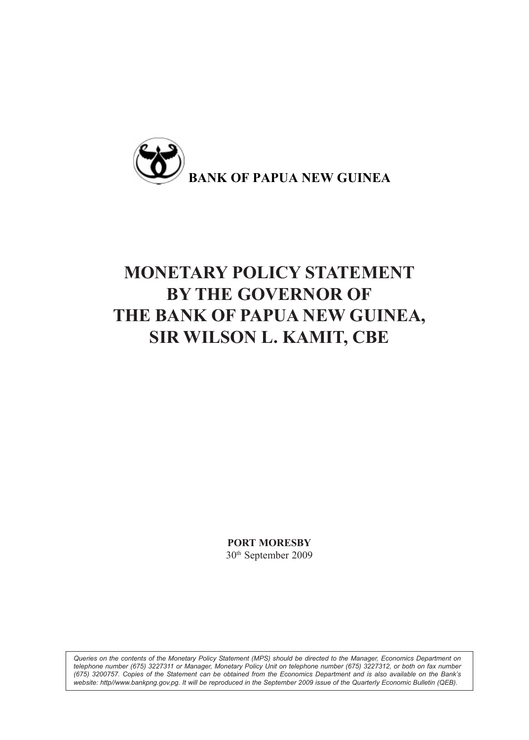

# **MONETARY POLICY STATEMENT BY THE GOVERNOR OF THE BANK OF PAPUA NEW GUINEA, SIR WILSON L. KAMIT, CBE**

**PORT MORESBY** 30th September 2009

*Queries on the contents of the Monetary Policy Statement (MPS) should be directed to the Manager, Economics Department on telephone number (675) 3227311 or Manager, Monetary Policy Unit on telephone number (675) 3227312, or both on fax number (675) 3200757. Copies of the Statement can be obtained from the Economics Department and is also available on the Bank's website: http//www.bankpng.gov.pg. It will be reproduced in the September 2009 issue of the Quarterly Economic Bulletin (QEB).*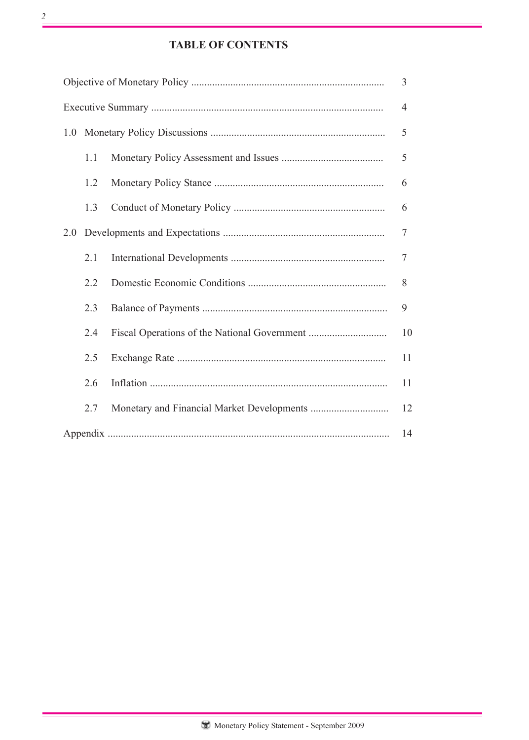# **TABLE OF CONTENTS**

|     |     |  | $\overline{4}$ |  |  |  |
|-----|-----|--|----------------|--|--|--|
| 1.0 |     |  |                |  |  |  |
|     | 1.1 |  | 5              |  |  |  |
|     | 1.2 |  | 6              |  |  |  |
|     | 1.3 |  | 6              |  |  |  |
| 2.0 |     |  |                |  |  |  |
|     | 2.1 |  | 7              |  |  |  |
|     | 2.2 |  | 8              |  |  |  |
|     | 2.3 |  | 9              |  |  |  |
|     | 2.4 |  | 10             |  |  |  |
|     | 2.5 |  | 11             |  |  |  |
|     | 2.6 |  | 11             |  |  |  |
|     | 2.7 |  | 12             |  |  |  |
|     | 14  |  |                |  |  |  |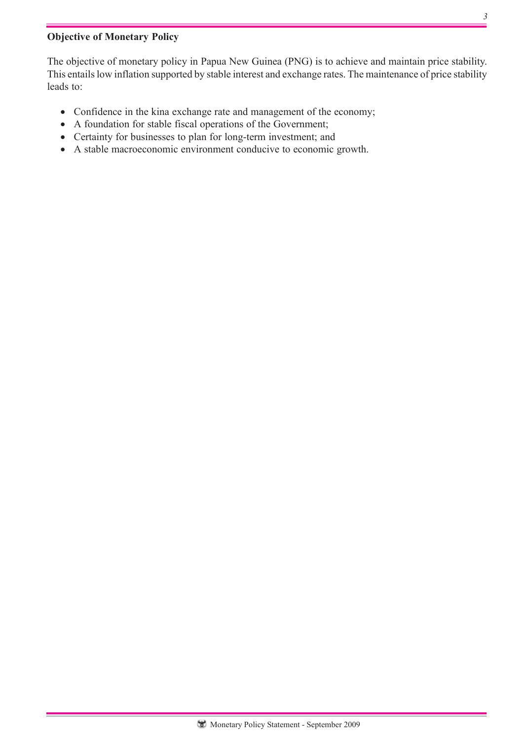# **Objective of Monetary Policy**

The objective of monetary policy in Papua New Guinea (PNG) is to achieve and maintain price stability. This entails low inflation supported by stable interest and exchange rates. The maintenance of price stability leads to:

- Confidence in the kina exchange rate and management of the economy;
- A foundation for stable fiscal operations of the Government;
- Certainty for businesses to plan for long-term investment; and
- A stable macroeconomic environment conducive to economic growth.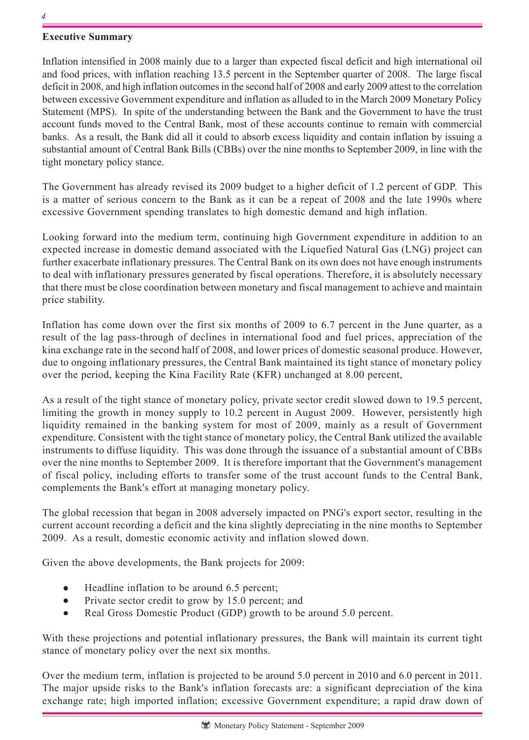## **Executive Summary**

Inflation intensified in 2008 mainly due to a larger than expected fiscal deficit and high international oil and food prices, with inflation reaching 13.5 percent in the September quarter of 2008. The large fiscal deficit in 2008, and high inflation outcomes in the second half of 2008 and early 2009 attest to the correlation between excessive Government expenditure and inflation as alluded to in the March 2009 Monetary Policy Statement (MPS). In spite of the understanding between the Bank and the Government to have the trust account funds moved to the Central Bank, most of these accounts continue to remain with commercial banks. As a result, the Bank did all it could to absorb excess liquidity and contain inflation by issuing a substantial amount of Central Bank Bills (CBBs) over the nine months to September 2009, in line with the tight monetary policy stance.

The Government has already revised its 2009 budget to a higher deficit of 1.2 percent of GDP. This is a matter of serious concern to the Bank as it can be a repeat of 2008 and the late 1990s where excessive Government spending translates to high domestic demand and high inflation.

Looking forward into the medium term, continuing high Government expenditure in addition to an expected increase in domestic demand associated with the Liquefied Natural Gas (LNG) project can further exacerbate inflationary pressures. The Central Bank on its own does not have enough instruments to deal with inflationary pressures generated by fiscal operations. Therefore, it is absolutely necessary that there must be close coordination between monetary and fiscal management to achieve and maintain price stability.

Inflation has come down over the first six months of 2009 to 6.7 percent in the June quarter, as a result of the lag pass-through of declines in international food and fuel prices, appreciation of the kina exchange rate in the second half of 2008, and lower prices of domestic seasonal produce. However, due to ongoing inflationary pressures, the Central Bank maintained its tight stance of monetary policy over the period, keeping the Kina Facility Rate (KFR) unchanged at 8.00 percent,

As a result of the tight stance of monetary policy, private sector credit slowed down to 19.5 percent, limiting the growth in money supply to 10.2 percent in August 2009. However, persistently high liquidity remained in the banking system for most of 2009, mainly as a result of Government expenditure. Consistent with the tight stance of monetary policy, the Central Bank utilized the available instruments to diffuse liquidity. This was done through the issuance of a substantial amount of CBBs over the nine months to September 2009. It is therefore important that the Government's management of fiscal policy, including efforts to transfer some of the trust account funds to the Central Bank, complements the Bank's effort at managing monetary policy.

The global recession that began in 2008 adversely impacted on PNG's export sector, resulting in the current account recording a deficit and the kina slightly depreciating in the nine months to September 2009. As a result, domestic economic activity and inflation slowed down.

Given the above developments, the Bank projects for 2009:

- Headline inflation to be around 6.5 percent;
- Private sector credit to grow by 15.0 percent; and
- Real Gross Domestic Product (GDP) growth to be around 5.0 percent.

With these projections and potential inflationary pressures, the Bank will maintain its current tight stance of monetary policy over the next six months.

Over the medium term, inflation is projected to be around 5.0 percent in 2010 and 6.0 percent in 2011. The major upside risks to the Bank's inflation forecasts are: a significant depreciation of the kina exchange rate; high imported inflation; excessive Government expenditure; a rapid draw down of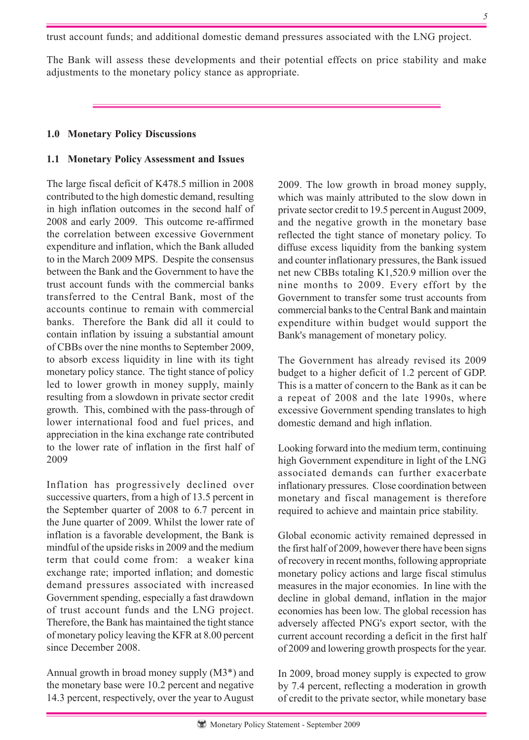trust account funds; and additional domestic demand pressures associated with the LNG project.

The Bank will assess these developments and their potential effects on price stability and make adjustments to the monetary policy stance as appropriate.

## **1.0 Monetary Policy Discussions**

## **1.1 Monetary Policy Assessment and Issues**

The large fiscal deficit of K478.5 million in 2008 contributed to the high domestic demand, resulting in high inflation outcomes in the second half of 2008 and early 2009. This outcome re-affirmed the correlation between excessive Government expenditure and inflation, which the Bank alluded to in the March 2009 MPS. Despite the consensus between the Bank and the Government to have the trust account funds with the commercial banks transferred to the Central Bank, most of the accounts continue to remain with commercial banks. Therefore the Bank did all it could to contain inflation by issuing a substantial amount of CBBs over the nine months to September 2009, to absorb excess liquidity in line with its tight monetary policy stance. The tight stance of policy led to lower growth in money supply, mainly resulting from a slowdown in private sector credit growth. This, combined with the pass-through of lower international food and fuel prices, and appreciation in the kina exchange rate contributed to the lower rate of inflation in the first half of 2009

Inflation has progressively declined over successive quarters, from a high of 13.5 percent in the September quarter of 2008 to 6.7 percent in the June quarter of 2009. Whilst the lower rate of inflation is a favorable development, the Bank is mindful of the upside risks in 2009 and the medium term that could come from: a weaker kina exchange rate; imported inflation; and domestic demand pressures associated with increased Government spending, especially a fast drawdown of trust account funds and the LNG project. Therefore, the Bank has maintained the tight stance of monetary policy leaving the KFR at 8.00 percent since December 2008.

Annual growth in broad money supply (M3\*) and the monetary base were 10.2 percent and negative 14.3 percent, respectively, over the year to August 2009. The low growth in broad money supply, which was mainly attributed to the slow down in private sector credit to 19.5 percent in August 2009, and the negative growth in the monetary base reflected the tight stance of monetary policy. To diffuse excess liquidity from the banking system and counter inflationary pressures, the Bank issued net new CBBs totaling K1,520.9 million over the nine months to 2009. Every effort by the Government to transfer some trust accounts from commercial banks to the Central Bank and maintain expenditure within budget would support the Bank's management of monetary policy.

The Government has already revised its 2009 budget to a higher deficit of 1.2 percent of GDP. This is a matter of concern to the Bank as it can be a repeat of 2008 and the late 1990s, where excessive Government spending translates to high domestic demand and high inflation.

Looking forward into the medium term, continuing high Government expenditure in light of the LNG associated demands can further exacerbate inflationary pressures. Close coordination between monetary and fiscal management is therefore required to achieve and maintain price stability.

Global economic activity remained depressed in the first half of 2009, however there have been signs of recovery in recent months, following appropriate monetary policy actions and large fiscal stimulus measures in the major economies. In line with the decline in global demand, inflation in the major economies has been low. The global recession has adversely affected PNG's export sector, with the current account recording a deficit in the first half of 2009 and lowering growth prospects for the year.

In 2009, broad money supply is expected to grow by 7.4 percent, reflecting a moderation in growth of credit to the private sector, while monetary base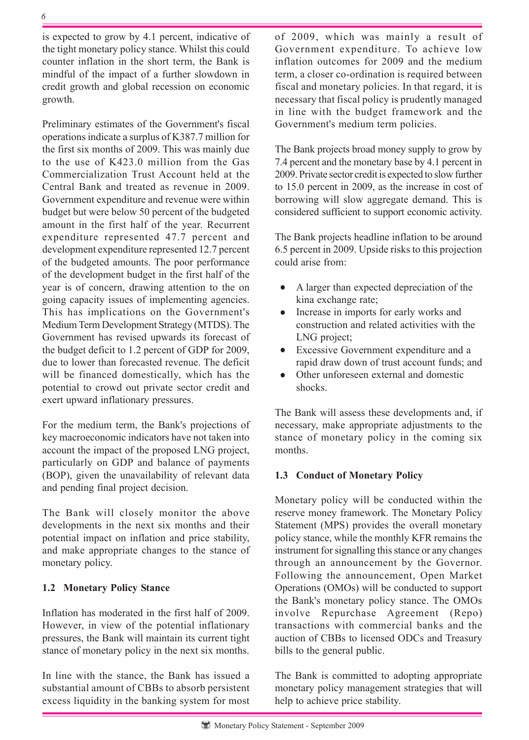is expected to grow by 4.1 percent, indicative of the tight monetary policy stance. Whilst this could counter inflation in the short term, the Bank is mindful of the impact of a further slowdown in credit growth and global recession on economic growth.

Preliminary estimates of the Government's fiscal operations indicate a surplus of K387.7 million for the first six months of 2009. This was mainly due to the use of K423.0 million from the Gas Commercialization Trust Account held at the Central Bank and treated as revenue in 2009. Government expenditure and revenue were within budget but were below 50 percent of the budgeted amount in the first half of the year. Recurrent expenditure represented 47.7 percent and development expenditure represented 12.7 percent of the budgeted amounts. The poor performance of the development budget in the first half of the year is of concern, drawing attention to the on going capacity issues of implementing agencies. This has implications on the Government's Medium Term Development Strategy (MTDS). The Government has revised upwards its forecast of the budget deficit to 1.2 percent of GDP for 2009, due to lower than forecasted revenue. The deficit will be financed domestically, which has the potential to crowd out private sector credit and exert upward inflationary pressures.

For the medium term, the Bank's projections of key macroeconomic indicators have not taken into account the impact of the proposed LNG project, particularly on GDP and balance of payments (BOP), given the unavailability of relevant data and pending final project decision.

The Bank will closely monitor the above developments in the next six months and their potential impact on inflation and price stability, and make appropriate changes to the stance of monetary policy.

## **1.2 Monetary Policy Stance**

Inflation has moderated in the first half of 2009. However, in view of the potential inflationary pressures, the Bank will maintain its current tight stance of monetary policy in the next six months.

In line with the stance, the Bank has issued a substantial amount of CBBs to absorb persistent excess liquidity in the banking system for most of 2009, which was mainly a result of Government expenditure. To achieve low inflation outcomes for 2009 and the medium term, a closer co-ordination is required between fiscal and monetary policies. In that regard, it is necessary that fiscal policy is prudently managed in line with the budget framework and the Government's medium term policies.

The Bank projects broad money supply to grow by 7.4 percent and the monetary base by 4.1 percent in 2009. Private sector credit is expected to slow further to 15.0 percent in 2009, as the increase in cost of borrowing will slow aggregate demand. This is considered sufficient to support economic activity.

The Bank projects headline inflation to be around 6.5 percent in 2009. Upside risks to this projection could arise from:

- A larger than expected depreciation of the kina exchange rate;
- Increase in imports for early works and construction and related activities with the LNG project;
- Excessive Government expenditure and a rapid draw down of trust account funds; and
- Other unforeseen external and domestic shocks.

The Bank will assess these developments and, if necessary, make appropriate adjustments to the stance of monetary policy in the coming six months.

## **1.3 Conduct of Monetary Policy**

Monetary policy will be conducted within the reserve money framework. The Monetary Policy Statement (MPS) provides the overall monetary policy stance, while the monthly KFR remains the instrument for signalling this stance or any changes through an announcement by the Governor. Following the announcement, Open Market Operations (OMOs) will be conducted to support the Bank's monetary policy stance. The OMOs involve Repurchase Agreement (Repo) transactions with commercial banks and the auction of CBBs to licensed ODCs and Treasury bills to the general public.

The Bank is committed to adopting appropriate monetary policy management strategies that will help to achieve price stability.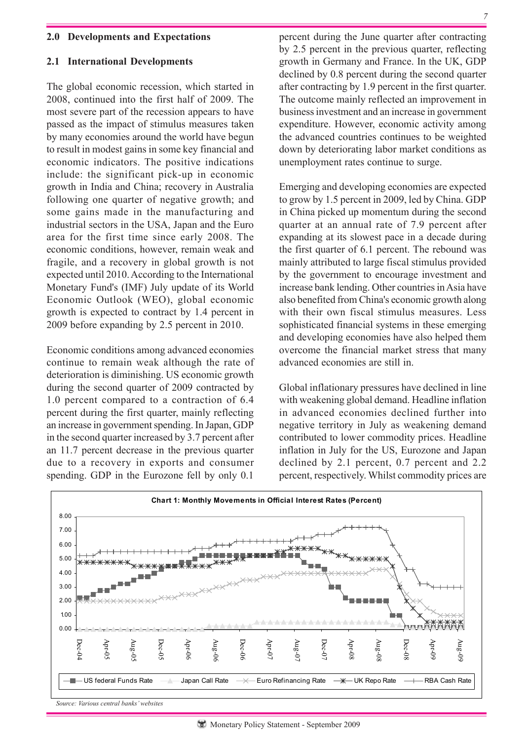#### **2.0 Developments and Expectations**

#### **2.1 International Developments**

The global economic recession, which started in 2008, continued into the first half of 2009. The most severe part of the recession appears to have passed as the impact of stimulus measures taken by many economies around the world have begun to result in modest gains in some key financial and economic indicators. The positive indications include: the significant pick-up in economic growth in India and China; recovery in Australia following one quarter of negative growth; and some gains made in the manufacturing and industrial sectors in the USA, Japan and the Euro area for the first time since early 2008. The economic conditions, however, remain weak and fragile, and a recovery in global growth is not expected until 2010. According to the International Monetary Fund's (IMF) July update of its World Economic Outlook (WEO), global economic growth is expected to contract by 1.4 percent in 2009 before expanding by 2.5 percent in 2010.

Economic conditions among advanced economies continue to remain weak although the rate of deterioration is diminishing. US economic growth during the second quarter of 2009 contracted by 1.0 percent compared to a contraction of 6.4 percent during the first quarter, mainly reflecting an increase in government spending. In Japan, GDP in the second quarter increased by 3.7 percent after an 11.7 percent decrease in the previous quarter due to a recovery in exports and consumer spending. GDP in the Eurozone fell by only 0.1

percent during the June quarter after contracting by 2.5 percent in the previous quarter, reflecting growth in Germany and France. In the UK, GDP declined by 0.8 percent during the second quarter after contracting by 1.9 percent in the first quarter. The outcome mainly reflected an improvement in business investment and an increase in government expenditure. However, economic activity among the advanced countries continues to be weighted down by deteriorating labor market conditions as unemployment rates continue to surge.

Emerging and developing economies are expected to grow by 1.5 percent in 2009, led by China. GDP in China picked up momentum during the second quarter at an annual rate of 7.9 percent after expanding at its slowest pace in a decade during the first quarter of 6.1 percent. The rebound was mainly attributed to large fiscal stimulus provided by the government to encourage investment and increase bank lending. Other countries in Asia have also benefited from China's economic growth along with their own fiscal stimulus measures. Less sophisticated financial systems in these emerging and developing economies have also helped them overcome the financial market stress that many advanced economies are still in.

Global inflationary pressures have declined in line with weakening global demand. Headline inflation in advanced economies declined further into negative territory in July as weakening demand contributed to lower commodity prices. Headline inflation in July for the US, Eurozone and Japan declined by 2.1 percent, 0.7 percent and 2.2 percent, respectively. Whilst commodity prices are

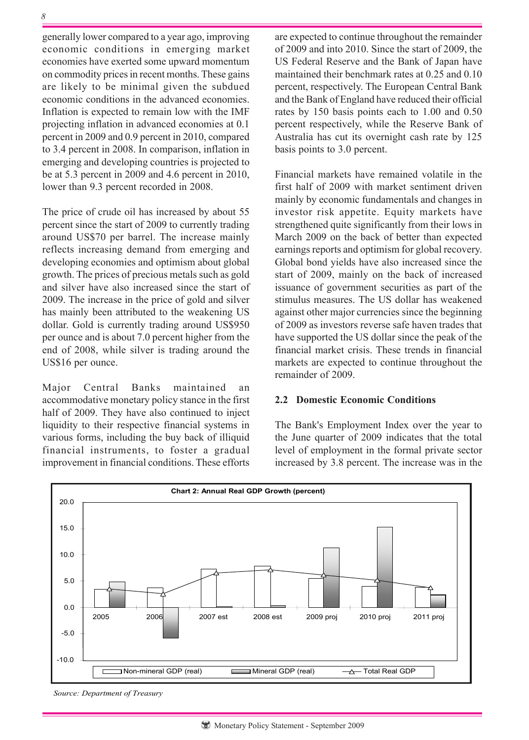generally lower compared to a year ago, improving economic conditions in emerging market economies have exerted some upward momentum on commodity prices in recent months. These gains are likely to be minimal given the subdued economic conditions in the advanced economies. Inflation is expected to remain low with the IMF projecting inflation in advanced economies at 0.1 percent in 2009 and 0.9 percent in 2010, compared to 3.4 percent in 2008. In comparison, inflation in emerging and developing countries is projected to be at 5.3 percent in 2009 and 4.6 percent in 2010, lower than 9.3 percent recorded in 2008.

The price of crude oil has increased by about 55 percent since the start of 2009 to currently trading around US\$70 per barrel. The increase mainly reflects increasing demand from emerging and developing economies and optimism about global growth. The prices of precious metals such as gold and silver have also increased since the start of 2009. The increase in the price of gold and silver has mainly been attributed to the weakening US dollar. Gold is currently trading around US\$950 per ounce and is about 7.0 percent higher from the end of 2008, while silver is trading around the US\$16 per ounce.

Major Central Banks maintained an accommodative monetary policy stance in the first half of 2009. They have also continued to inject liquidity to their respective financial systems in various forms, including the buy back of illiquid financial instruments, to foster a gradual improvement in financial conditions. These efforts

are expected to continue throughout the remainder of 2009 and into 2010. Since the start of 2009, the US Federal Reserve and the Bank of Japan have maintained their benchmark rates at 0.25 and 0.10 percent, respectively. The European Central Bank and the Bank of England have reduced their official rates by 150 basis points each to 1.00 and 0.50 percent respectively, while the Reserve Bank of Australia has cut its overnight cash rate by 125 basis points to 3.0 percent.

Financial markets have remained volatile in the first half of 2009 with market sentiment driven mainly by economic fundamentals and changes in investor risk appetite. Equity markets have strengthened quite significantly from their lows in March 2009 on the back of better than expected earnings reports and optimism for global recovery. Global bond yields have also increased since the start of 2009, mainly on the back of increased issuance of government securities as part of the stimulus measures. The US dollar has weakened against other major currencies since the beginning of 2009 as investors reverse safe haven trades that have supported the US dollar since the peak of the financial market crisis. These trends in financial markets are expected to continue throughout the remainder of 2009.

#### **2.2 Domestic Economic Conditions**

The Bank's Employment Index over the year to the June quarter of 2009 indicates that the total level of employment in the formal private sector increased by 3.8 percent. The increase was in the



*Source: Department of Treasury*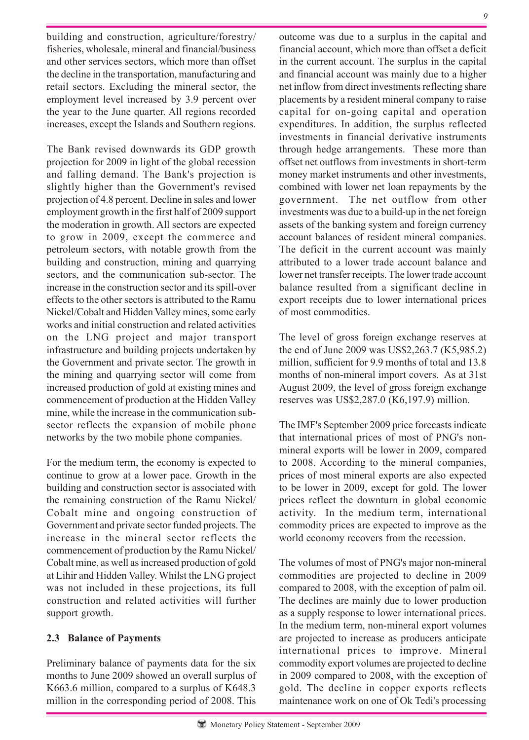building and construction, agriculture/forestry/ fisheries, wholesale, mineral and financial/business and other services sectors, which more than offset the decline in the transportation, manufacturing and retail sectors. Excluding the mineral sector, the employment level increased by 3.9 percent over the year to the June quarter. All regions recorded increases, except the Islands and Southern regions.

The Bank revised downwards its GDP growth projection for 2009 in light of the global recession and falling demand. The Bank's projection is slightly higher than the Government's revised projection of 4.8 percent. Decline in sales and lower employment growth in the first half of 2009 support the moderation in growth. All sectors are expected to grow in 2009, except the commerce and petroleum sectors, with notable growth from the building and construction, mining and quarrying sectors, and the communication sub-sector. The increase in the construction sector and its spill-over effects to the other sectors is attributed to the Ramu Nickel/Cobalt and Hidden Valley mines, some early works and initial construction and related activities on the LNG project and major transport infrastructure and building projects undertaken by the Government and private sector. The growth in the mining and quarrying sector will come from increased production of gold at existing mines and commencement of production at the Hidden Valley mine, while the increase in the communication subsector reflects the expansion of mobile phone networks by the two mobile phone companies.

For the medium term, the economy is expected to continue to grow at a lower pace. Growth in the building and construction sector is associated with the remaining construction of the Ramu Nickel/ Cobalt mine and ongoing construction of Government and private sector funded projects. The increase in the mineral sector reflects the commencement of production by the Ramu Nickel/ Cobalt mine, as well as increased production of gold at Lihir and Hidden Valley. Whilst the LNG project was not included in these projections, its full construction and related activities will further support growth.

# **2.3 Balance of Payments**

Preliminary balance of payments data for the six months to June 2009 showed an overall surplus of K663.6 million, compared to a surplus of K648.3 million in the corresponding period of 2008. This

outcome was due to a surplus in the capital and financial account, which more than offset a deficit in the current account. The surplus in the capital and financial account was mainly due to a higher net inflow from direct investments reflecting share placements by a resident mineral company to raise capital for on-going capital and operation expenditures. In addition, the surplus reflected investments in financial derivative instruments through hedge arrangements. These more than offset net outflows from investments in short-term money market instruments and other investments, combined with lower net loan repayments by the government. The net outflow from other investments was due to a build-up in the net foreign assets of the banking system and foreign currency account balances of resident mineral companies. The deficit in the current account was mainly attributed to a lower trade account balance and lower net transfer receipts. The lower trade account balance resulted from a significant decline in export receipts due to lower international prices of most commodities.

The level of gross foreign exchange reserves at the end of June 2009 was US\$2,263.7 (K5,985.2) million, sufficient for 9.9 months of total and 13.8 months of non-mineral import covers. As at 31st August 2009, the level of gross foreign exchange reserves was US\$2,287.0 (K6,197.9) million.

The IMF's September 2009 price forecasts indicate that international prices of most of PNG's nonmineral exports will be lower in 2009, compared to 2008. According to the mineral companies, prices of most mineral exports are also expected to be lower in 2009, except for gold. The lower prices reflect the downturn in global economic activity. In the medium term, international commodity prices are expected to improve as the world economy recovers from the recession.

The volumes of most of PNG's major non-mineral commodities are projected to decline in 2009 compared to 2008, with the exception of palm oil. The declines are mainly due to lower production as a supply response to lower international prices. In the medium term, non-mineral export volumes are projected to increase as producers anticipate international prices to improve. Mineral commodity export volumes are projected to decline in 2009 compared to 2008, with the exception of gold. The decline in copper exports reflects maintenance work on one of Ok Tedi's processing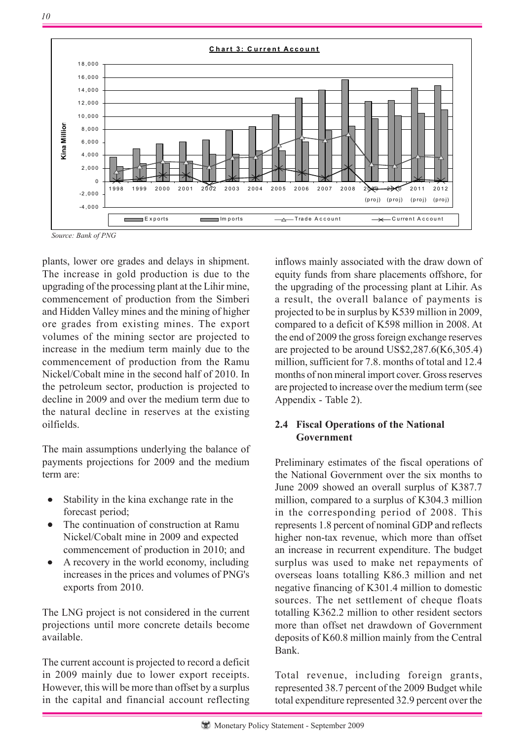

*Source: Bank of PNG*

plants, lower ore grades and delays in shipment. The increase in gold production is due to the upgrading of the processing plant at the Lihir mine, commencement of production from the Simberi and Hidden Valley mines and the mining of higher ore grades from existing mines. The export volumes of the mining sector are projected to increase in the medium term mainly due to the commencement of production from the Ramu Nickel/Cobalt mine in the second half of 2010. In the petroleum sector, production is projected to decline in 2009 and over the medium term due to the natural decline in reserves at the existing oilfields.

The main assumptions underlying the balance of payments projections for 2009 and the medium term are:

- Stability in the kina exchange rate in the forecast period;
- The continuation of construction at Ramu Nickel/Cobalt mine in 2009 and expected commencement of production in 2010; and
- A recovery in the world economy, including increases in the prices and volumes of PNG's exports from 2010.

The LNG project is not considered in the current projections until more concrete details become available.

The current account is projected to record a deficit in 2009 mainly due to lower export receipts. However, this will be more than offset by a surplus in the capital and financial account reflecting inflows mainly associated with the draw down of equity funds from share placements offshore, for the upgrading of the processing plant at Lihir. As a result, the overall balance of payments is projected to be in surplus by K539 million in 2009, compared to a deficit of K598 million in 2008. At the end of 2009 the gross foreign exchange reserves are projected to be around US\$2,287.6(K6,305.4) million, sufficient for 7.8. months of total and 12.4 months of non mineral import cover. Gross reserves are projected to increase over the medium term (see Appendix - Table 2).

## **2.4 Fiscal Operations of the National Government**

Preliminary estimates of the fiscal operations of the National Government over the six months to June 2009 showed an overall surplus of K387.7 million, compared to a surplus of K304.3 million in the corresponding period of 2008. This represents 1.8 percent of nominal GDP and reflects higher non-tax revenue, which more than offset an increase in recurrent expenditure. The budget surplus was used to make net repayments of overseas loans totalling K86.3 million and net negative financing of K301.4 million to domestic sources. The net settlement of cheque floats totalling K362.2 million to other resident sectors more than offset net drawdown of Government deposits of K60.8 million mainly from the Central Bank.

Total revenue, including foreign grants, represented 38.7 percent of the 2009 Budget while total expenditure represented 32.9 percent over the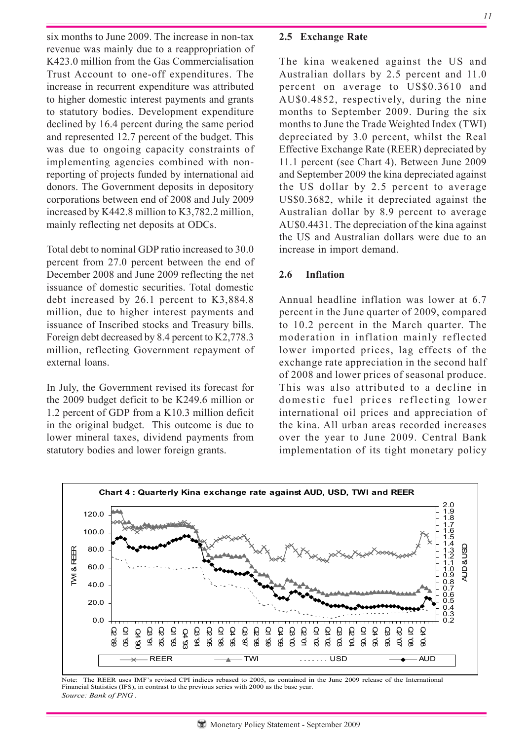six months to June 2009. The increase in non-tax revenue was mainly due to a reappropriation of K423.0 million from the Gas Commercialisation Trust Account to one-off expenditures. The increase in recurrent expenditure was attributed to higher domestic interest payments and grants to statutory bodies. Development expenditure declined by 16.4 percent during the same period and represented 12.7 percent of the budget. This was due to ongoing capacity constraints of implementing agencies combined with nonreporting of projects funded by international aid donors. The Government deposits in depository corporations between end of 2008 and July 2009 increased by K442.8 million to K3,782.2 million, mainly reflecting net deposits at ODCs.

Total debt to nominal GDP ratio increased to 30.0 percent from 27.0 percent between the end of December 2008 and June 2009 reflecting the net issuance of domestic securities. Total domestic debt increased by 26.1 percent to K3,884.8 million, due to higher interest payments and issuance of Inscribed stocks and Treasury bills. Foreign debt decreased by 8.4 percent to K2,778.3 million, reflecting Government repayment of external loans.

In July, the Government revised its forecast for the 2009 budget deficit to be K249.6 million or 1.2 percent of GDP from a K10.3 million deficit in the original budget. This outcome is due to lower mineral taxes, dividend payments from statutory bodies and lower foreign grants.

# **2.5 Exchange Rate**

The kina weakened against the US and Australian dollars by 2.5 percent and 11.0 percent on average to US\$0.3610 and AU\$0.4852, respectively, during the nine months to September 2009. During the six months to June the Trade Weighted Index (TWI) depreciated by 3.0 percent, whilst the Real Effective Exchange Rate (REER) depreciated by 11.1 percent (see Chart 4). Between June 2009 and September 2009 the kina depreciated against the US dollar by 2.5 percent to average US\$0.3682, while it depreciated against the Australian dollar by 8.9 percent to average AU\$0.4431. The depreciation of the kina against the US and Australian dollars were due to an increase in import demand.

# **2.6 Inflation**

Annual headline inflation was lower at 6.7 percent in the June quarter of 2009, compared to 10.2 percent in the March quarter. The moderation in inflation mainly reflected lower imported prices, lag effects of the exchange rate appreciation in the second half of 2008 and lower prices of seasonal produce. This was also attributed to a decline in domestic fuel prices reflecting lower international oil prices and appreciation of the kina. All urban areas recorded increases over the year to June 2009. Central Bank implementation of its tight monetary policy



*Source: Bank of PNG .*  Note: The REER uses IMF's revised CPI indices rebased to 2005, as contained in the June 2009 release of the International Financial Statistics (IFS), in contrast to the previous series with 2000 as the base year.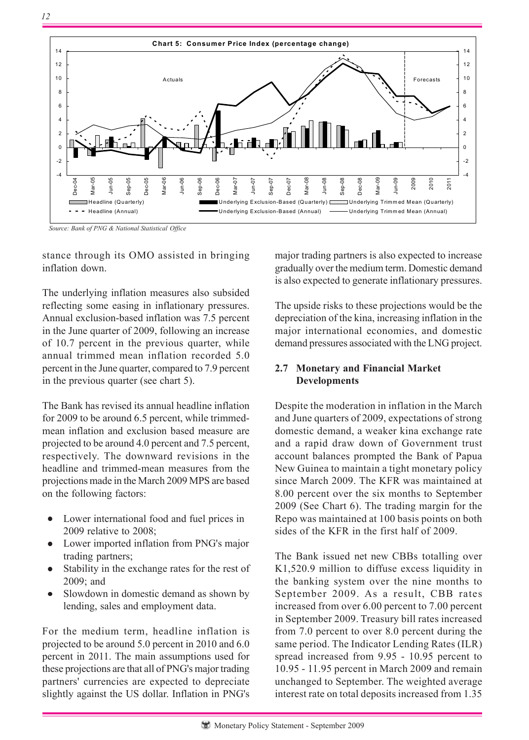![](_page_11_Figure_1.jpeg)

*Source: Bank of PNG & National Statistical Office*

stance through its OMO assisted in bringing inflation down.

The underlying inflation measures also subsided reflecting some easing in inflationary pressures. Annual exclusion-based inflation was 7.5 percent in the June quarter of 2009, following an increase of 10.7 percent in the previous quarter, while annual trimmed mean inflation recorded 5.0 percent in the June quarter, compared to 7.9 percent in the previous quarter (see chart 5).

The Bank has revised its annual headline inflation for 2009 to be around 6.5 percent, while trimmedmean inflation and exclusion based measure are projected to be around 4.0 percent and 7.5 percent, respectively. The downward revisions in the headline and trimmed-mean measures from the projections made in the March 2009 MPS are based on the following factors:

- Lower international food and fuel prices in 2009 relative to 2008;
- Lower imported inflation from PNG's major trading partners;
- Stability in the exchange rates for the rest of 2009; and
- Slowdown in domestic demand as shown by lending, sales and employment data.

For the medium term, headline inflation is projected to be around 5.0 percent in 2010 and 6.0 percent in 2011. The main assumptions used for these projections are that all of PNG's major trading partners' currencies are expected to depreciate slightly against the US dollar. Inflation in PNG's

major trading partners is also expected to increase gradually over the medium term. Domestic demand is also expected to generate inflationary pressures.

The upside risks to these projections would be the depreciation of the kina, increasing inflation in the major international economies, and domestic demand pressures associated with the LNG project.

# **2.7 Monetary and Financial Market Developments**

Despite the moderation in inflation in the March and June quarters of 2009, expectations of strong domestic demand, a weaker kina exchange rate and a rapid draw down of Government trust account balances prompted the Bank of Papua New Guinea to maintain a tight monetary policy since March 2009. The KFR was maintained at 8.00 percent over the six months to September 2009 (See Chart 6). The trading margin for the Repo was maintained at 100 basis points on both sides of the KFR in the first half of 2009.

The Bank issued net new CBBs totalling over K1,520.9 million to diffuse excess liquidity in the banking system over the nine months to September 2009. As a result, CBB rates increased from over 6.00 percent to 7.00 percent in September 2009. Treasury bill rates increased from 7.0 percent to over 8.0 percent during the same period. The Indicator Lending Rates (ILR) spread increased from 9.95 - 10.95 percent to 10.95 - 11.95 percent in March 2009 and remain unchanged to September. The weighted average interest rate on total deposits increased from 1.35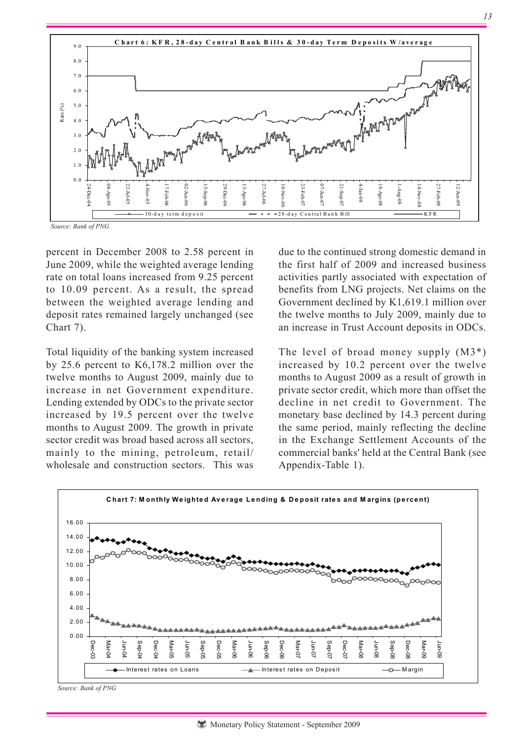![](_page_12_Figure_0.jpeg)

*Source: Bank of PNG*

percent in December 2008 to 2.58 percent in June 2009, while the weighted average lending rate on total loans increased from 9.25 percent to 10.09 percent. As a result, the spread between the weighted average lending and deposit rates remained largely unchanged (see Chart 7).

Total liquidity of the banking system increased by 25.6 percent to K6,178.2 million over the twelve months to August 2009, mainly due to increase in net Government expenditure. Lending extended by ODCs to the private sector increased by 19.5 percent over the twelve months to August 2009. The growth in private sector credit was broad based across all sectors, mainly to the mining, petroleum, retail/ wholesale and construction sectors. This was due to the continued strong domestic demand in the first half of 2009 and increased business activities partly associated with expectation of benefits from LNG projects. Net claims on the Government declined by K1,619.1 million over the twelve months to July 2009, mainly due to an increase in Trust Account deposits in ODCs.

The level of broad money supply  $(M3^*)$ increased by 10.2 percent over the twelve months to August 2009 as a result of growth in private sector credit, which more than offset the decline in net credit to Government. The monetary base declined by 14.3 percent during the same period, mainly reflecting the decline in the Exchange Settlement Accounts of the commercial banks' held at the Central Bank (see Appendix-Table 1).

![](_page_12_Figure_6.jpeg)

*Source: Bank of PNG*